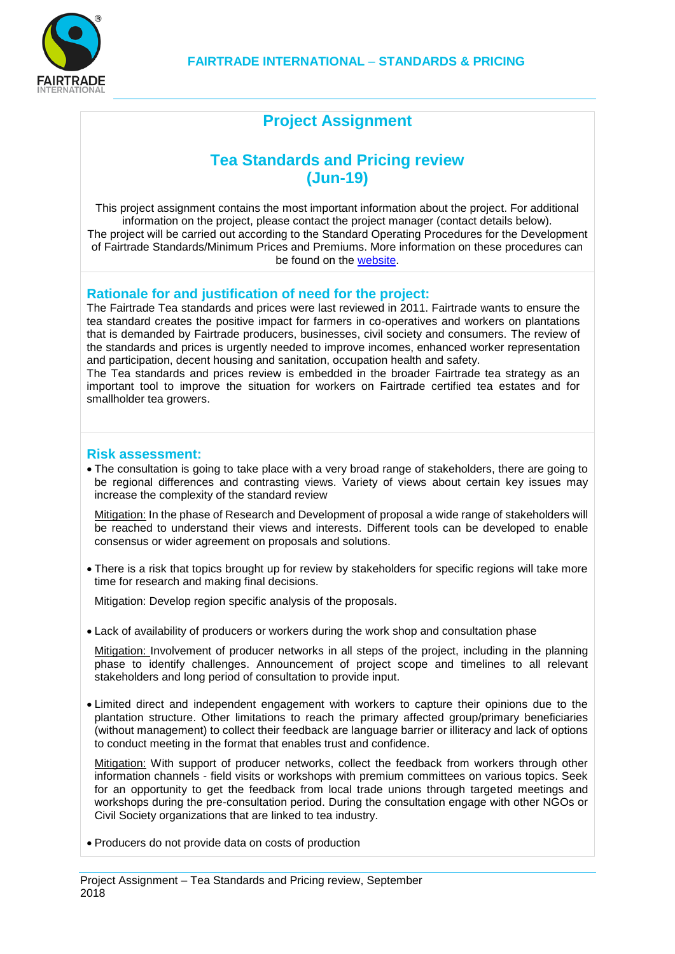

# **Project Assignment**

## **Tea Standards and Pricing review (Jun-19)**

This project assignment contains the most important information about the project. For additional information on the project, please contact the project manager (contact details below). The project will be carried out according to the Standard Operating Procedures for the Development of Fairtrade Standards/Minimum Prices and Premiums. More information on these procedures can be found on the [website.](http://www.fairtrade.net/standards/setting-the-standards.html)

### **Rationale for and justification of need for the project:**

The Fairtrade Tea standards and prices were last reviewed in 2011. Fairtrade wants to ensure the tea standard creates the positive impact for farmers in co-operatives and workers on plantations that is demanded by Fairtrade producers, businesses, civil society and consumers. The review of the standards and prices is urgently needed to improve incomes, enhanced worker representation and participation, decent housing and sanitation, occupation health and safety.

The Tea standards and prices review is embedded in the broader Fairtrade tea strategy as an important tool to improve the situation for workers on Fairtrade certified tea estates and for smallholder tea growers.

#### **Risk assessment:**

 The consultation is going to take place with a very broad range of stakeholders, there are going to be regional differences and contrasting views. Variety of views about certain key issues may increase the complexity of the standard review

Mitigation: In the phase of Research and Development of proposal a wide range of stakeholders will be reached to understand their views and interests. Different tools can be developed to enable consensus or wider agreement on proposals and solutions.

 There is a risk that topics brought up for review by stakeholders for specific regions will take more time for research and making final decisions.

Mitigation: Develop region specific analysis of the proposals.

Lack of availability of producers or workers during the work shop and consultation phase

Mitigation: Involvement of producer networks in all steps of the project, including in the planning phase to identify challenges. Announcement of project scope and timelines to all relevant stakeholders and long period of consultation to provide input.

 Limited direct and independent engagement with workers to capture their opinions due to the plantation structure. Other limitations to reach the primary affected group/primary beneficiaries (without management) to collect their feedback are language barrier or illiteracy and lack of options to conduct meeting in the format that enables trust and confidence.

Mitigation: With support of producer networks, collect the feedback from workers through other information channels - field visits or workshops with premium committees on various topics. Seek for an opportunity to get the feedback from local trade unions through targeted meetings and workshops during the pre-consultation period. During the consultation engage with other NGOs or Civil Society organizations that are linked to tea industry.

Producers do not provide data on costs of production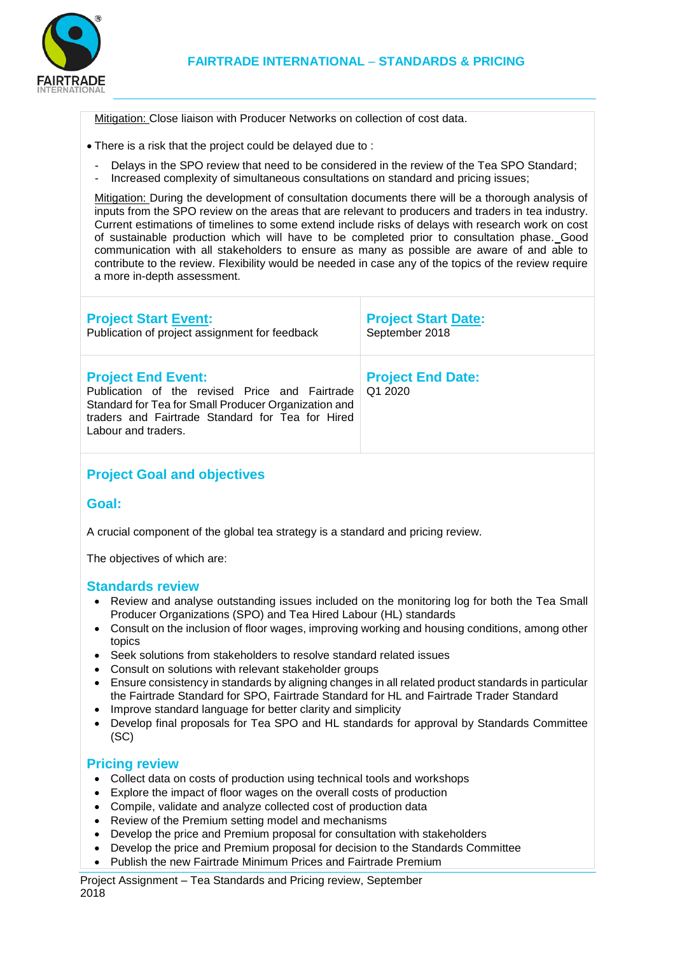

Mitigation: Close liaison with Producer Networks on collection of cost data.

- There is a risk that the project could be delayed due to :
	- Delays in the SPO review that need to be considered in the review of the Tea SPO Standard;
	- Increased complexity of simultaneous consultations on standard and pricing issues;

Mitigation: During the development of consultation documents there will be a thorough analysis of inputs from the SPO review on the areas that are relevant to producers and traders in tea industry. Current estimations of timelines to some extend include risks of delays with research work on cost of sustainable production which will have to be completed prior to consultation phase. Good communication with all stakeholders to ensure as many as possible are aware of and able to contribute to the review. Flexibility would be needed in case any of the topics of the review require a more in-depth assessment.

| <b>Project Start Event:</b><br>Publication of project assignment for feedback                                                                                                                                  | <b>Project Start Date:</b><br>September 2018 |
|----------------------------------------------------------------------------------------------------------------------------------------------------------------------------------------------------------------|----------------------------------------------|
| <b>Project End Event:</b><br>Publication of the revised Price and Fairtrade<br>Standard for Tea for Small Producer Organization and<br>traders and Fairtrade Standard for Tea for Hired<br>Labour and traders. | <b>Project End Date:</b><br>Q1 2020          |
| <b>Project Goal and objectives</b>                                                                                                                                                                             |                                              |

### **Goal:**

A crucial component of the global tea strategy is a standard and pricing review.

The objectives of which are:

#### **Standards review**

- Review and analyse outstanding issues included on the monitoring log for both the Tea Small Producer Organizations (SPO) and Tea Hired Labour (HL) standards
- Consult on the inclusion of floor wages, improving working and housing conditions, among other topics
- Seek solutions from stakeholders to resolve standard related issues
- Consult on solutions with relevant stakeholder groups
- Ensure consistency in standards by aligning changes in all related product standards in particular the Fairtrade Standard for SPO, Fairtrade Standard for HL and Fairtrade Trader Standard
- Improve standard language for better clarity and simplicity
- Develop final proposals for Tea SPO and HL standards for approval by Standards Committee (SC)

### **Pricing review**

- Collect data on costs of production using technical tools and workshops
- Explore the impact of floor wages on the overall costs of production
- Compile, validate and analyze collected cost of production data
- Review of the Premium setting model and mechanisms
- Develop the price and Premium proposal for consultation with stakeholders
- Develop the price and Premium proposal for decision to the Standards Committee
- Publish the new Fairtrade Minimum Prices and Fairtrade Premium

Project Assignment – Tea Standards and Pricing review, September 2018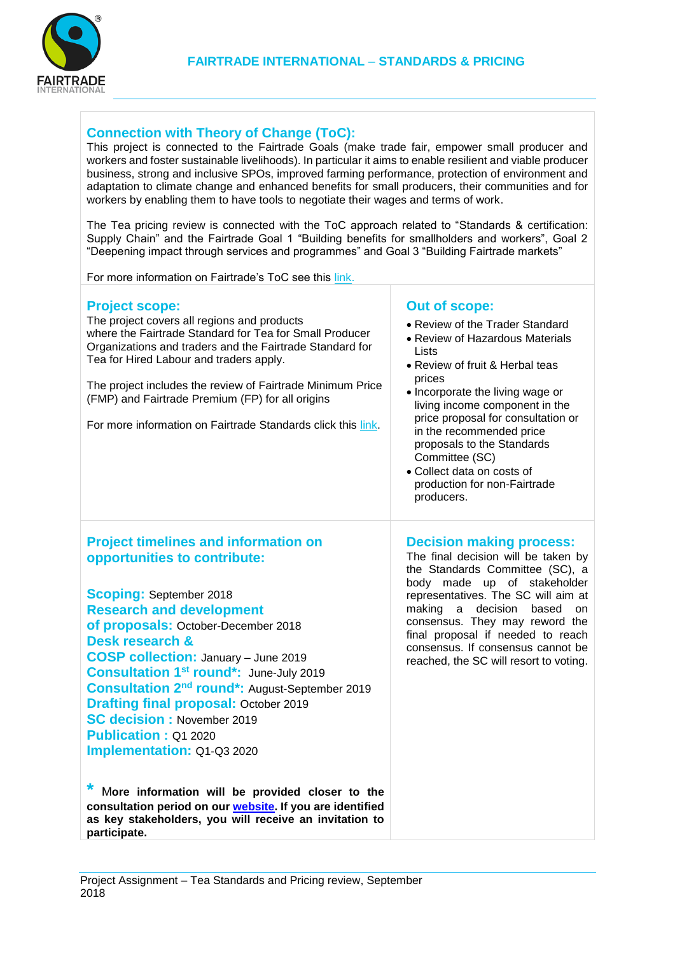

## **Connection with Theory of Change (ToC):**

This project is connected to the Fairtrade Goals (make trade fair, empower small producer and workers and foster sustainable livelihoods). In particular it aims to enable resilient and viable producer business, strong and inclusive SPOs, improved farming performance, protection of environment and adaptation to climate change and enhanced benefits for small producers, their communities and for workers by enabling them to have tools to negotiate their wages and terms of work.

The Tea pricing review is connected with the ToC approach related to "Standards & certification: Supply Chain" and the Fairtrade Goal 1 "Building benefits for smallholders and workers", Goal 2 "Deepening impact through services and programmes" and Goal 3 "Building Fairtrade markets"

For more information on Fairtrade's ToC see this [link.](http://www.fairtrade.net/resources/our-theory-of-change.html)

where the Fairtrade Standard for Tea for Small Producer Organizations and traders and the Fairtrade Standard for

The project includes the review of Fairtrade Minimum Price

For more information on Fairtrade Standards click this [link.](http://www.fairtrade.net/standards/our-standards.html)

(FMP) and Fairtrade Premium (FP) for all origins

The project covers all regions and products

Tea for Hired Labour and traders apply.

**Project scope:**

## **Out of scope:**

- Review of the Trader Standard
- Review of Hazardous Materials Lists
- Review of fruit & Herbal teas prices
- Incorporate the living wage or living income component in the price proposal for consultation or in the recommended price proposals to the Standards Committee (SC)
- Collect data on costs of production for non-Fairtrade producers.

### **Project timelines and information on opportunities to contribute:**

**Scoping:** September 2018 **Research and development of proposals:** October-December 2018 **Desk research & COSP collection:** January – June 2019 **Consultation 1st round\*:** June-July 2019 **Consultation 2nd round\*:** August-September 2019 **Drafting final proposal:** October 2019 **SC decision :** November 2019 **Publication :** Q1 2020 **Implementation:** Q1-Q3 2020

**\*** <sup>M</sup>**ore information will be provided closer to the consultation period on our [website.](http://www.fairtrade.net/standards/standards-work-in-progress.html) If you are identified as key stakeholders, you will receive an invitation to participate.**

# **Decision making process:**

The final decision will be taken by the Standards Committee (SC), a body made up of stakeholder representatives. The SC will aim at making a decision based on consensus. They may reword the final proposal if needed to reach consensus. If consensus cannot be reached, the SC will resort to voting.